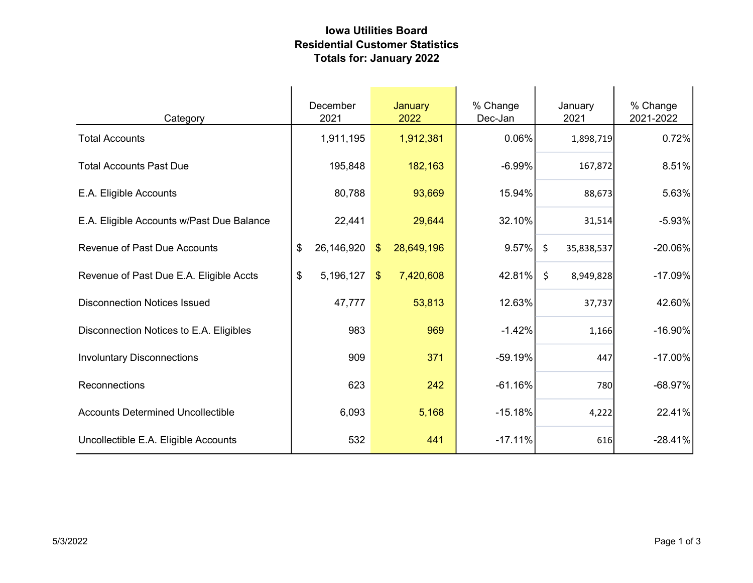## Iowa Utilities Board Residential Customer Statistics Totals for: January 2022

| Category                                  | December<br>2021 | January<br>2022             | % Change<br>Dec-Jan | January<br>2021       | % Change<br>2021-2022 |
|-------------------------------------------|------------------|-----------------------------|---------------------|-----------------------|-----------------------|
| <b>Total Accounts</b>                     | 1,911,195        | 1,912,381                   | 0.06%               | 1,898,719             | 0.72%                 |
| <b>Total Accounts Past Due</b>            | 195,848          | 182,163                     | $-6.99%$            | 167,872               | 8.51%                 |
| E.A. Eligible Accounts                    | 80,788           | 93,669                      | 15.94%              | 88,673                | 5.63%                 |
| E.A. Eligible Accounts w/Past Due Balance | 22,441           | 29,644                      | 32.10%              | 31,514                | $-5.93%$              |
| <b>Revenue of Past Due Accounts</b>       | \$<br>26,146,920 | 28,649,196<br>$\sqrt[6]{3}$ | 9.57%               | $\zeta$<br>35,838,537 | $-20.06%$             |
| Revenue of Past Due E.A. Eligible Accts   | \$<br>5,196,127  | 7,420,608<br>\$             | 42.81%              | $\zeta$<br>8,949,828  | $-17.09%$             |
| <b>Disconnection Notices Issued</b>       | 47,777           | 53,813                      | 12.63%              | 37,737                | 42.60%                |
| Disconnection Notices to E.A. Eligibles   | 983              | 969                         | $-1.42%$            | 1,166                 | $-16.90%$             |
| <b>Involuntary Disconnections</b>         | 909              | 371                         | $-59.19%$           | 447                   | $-17.00%$             |
| Reconnections                             | 623              | 242                         | $-61.16%$           | 780                   | $-68.97%$             |
| <b>Accounts Determined Uncollectible</b>  | 6,093            | 5,168                       | $-15.18%$           | 4,222                 | 22.41%                |
| Uncollectible E.A. Eligible Accounts      | 532              | 441                         | $-17.11%$           | 616                   | $-28.41%$             |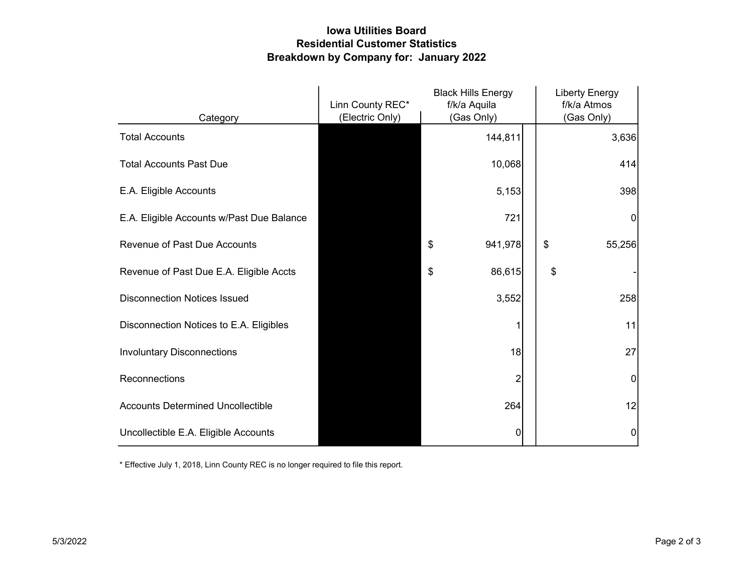## Iowa Utilities Board Residential Customer Statistics Breakdown by Company for: January 2022

|                                           | Linn County REC* | <b>Black Hills Energy</b><br>f/k/a Aquila | <b>Liberty Energy</b><br>f/k/a Atmos |
|-------------------------------------------|------------------|-------------------------------------------|--------------------------------------|
| Category                                  | (Electric Only)  | (Gas Only)                                | (Gas Only)                           |
| <b>Total Accounts</b>                     |                  | 144,811                                   | 3,636                                |
| <b>Total Accounts Past Due</b>            |                  | 10,068                                    | 414                                  |
| E.A. Eligible Accounts                    |                  | 5,153                                     | 398                                  |
| E.A. Eligible Accounts w/Past Due Balance |                  | 721                                       | 0                                    |
| <b>Revenue of Past Due Accounts</b>       |                  | \$<br>941,978                             | \$<br>55,256                         |
| Revenue of Past Due E.A. Eligible Accts   |                  | 86,615<br>\$                              | \$                                   |
| <b>Disconnection Notices Issued</b>       |                  | 3,552                                     | 258                                  |
| Disconnection Notices to E.A. Eligibles   |                  |                                           | 11                                   |
| <b>Involuntary Disconnections</b>         |                  | 18                                        | 27                                   |
| Reconnections                             |                  | $\overline{c}$                            | $\overline{0}$                       |
| <b>Accounts Determined Uncollectible</b>  |                  | 264                                       | 12                                   |
| Uncollectible E.A. Eligible Accounts      |                  | 0                                         | 0                                    |

\* Effective July 1, 2018, Linn County REC is no longer required to file this report.